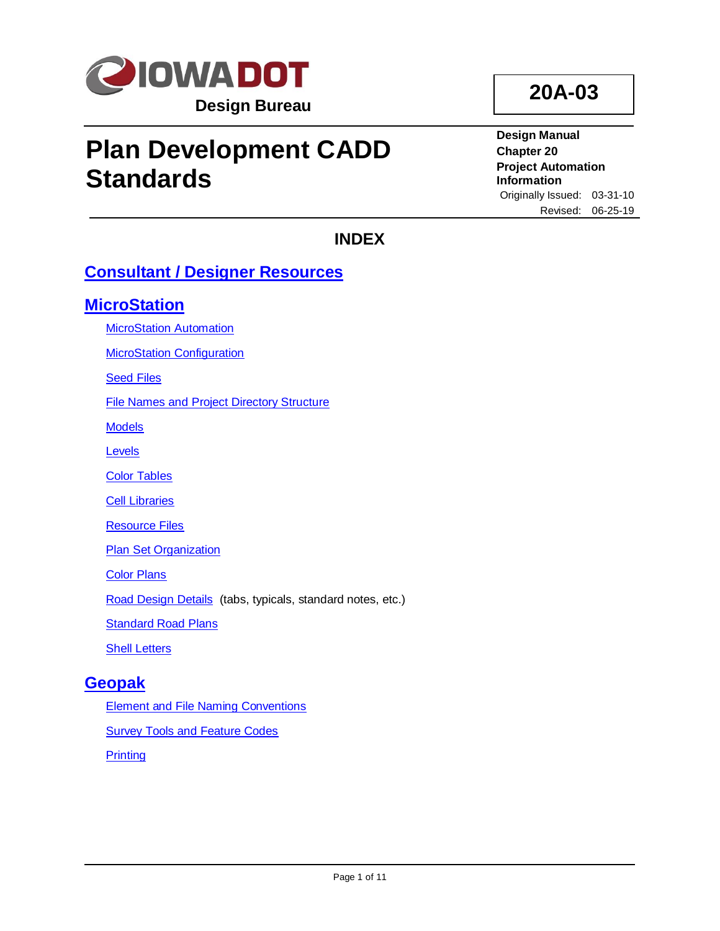

# **Plan Development CADD Standards**

**20A-03**

**Design Manual Chapter 20 Project Automation Information** Originally Issued: 03-31-10 Revised: 06-25-19

# **INDEX**

# **[Consultant / Designer Resources](#page-1-0)**

# **[MicroStation](#page-1-1)**

[MicroStation Automation](#page-1-2)

[MicroStation Configuration](#page-2-0)

**[Seed Files](#page-3-0)** 

[File Names and Project Directory Structure](#page-3-1)

**[Models](#page-3-2)** 

[Levels](#page-4-0)

**[Color Tables](#page-6-0)** 

[Cell Libraries](#page-6-1)

[Resource Files](#page-8-0)

**[Plan Set Organization](#page-8-1)** 

**[Color Plans](#page-8-2)** 

[Road Design Details](#page-9-0) (tabs, typicals, standard notes, etc.)

[Standard Road Plans](#page-9-1)

[Shell Letters](#page-9-2)

# **[Geopak](#page-10-0)**

[Element and File Naming Conventions](#page-10-1) **[Survey Tools and Feature Codes](#page-10-2) [Printing](#page-10-3)**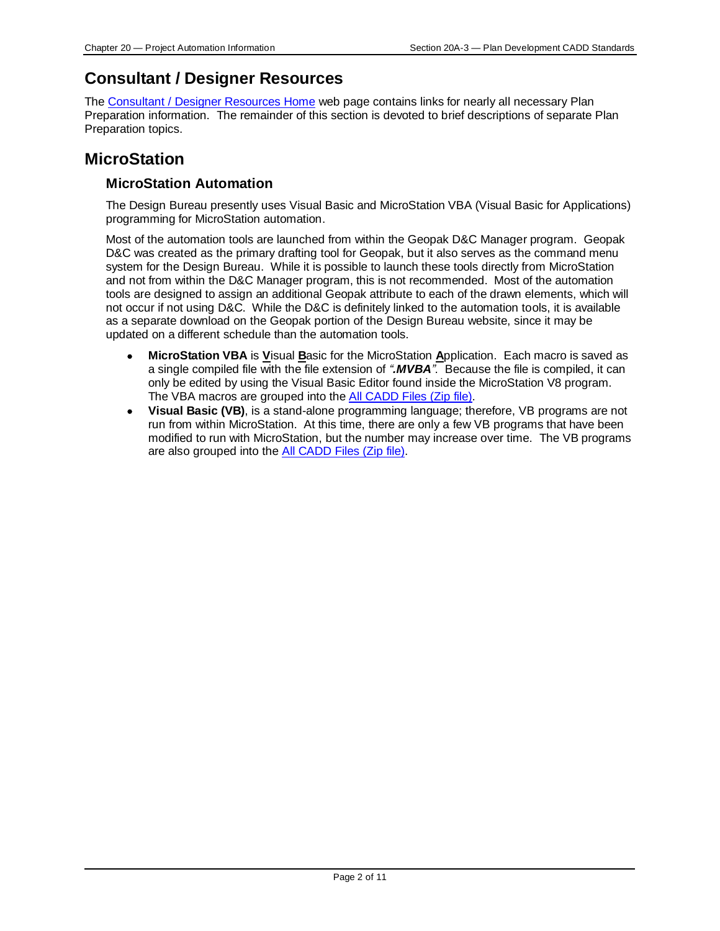# <span id="page-1-0"></span>**Consultant / Designer Resources**

The [Consultant / Designer Resources Home](../../projectdev/consultant-designer-resources-home) web page contains links for nearly all necessary Plan Preparation information. The remainder of this section is devoted to brief descriptions of separate Plan Preparation topics.

# <span id="page-1-2"></span><span id="page-1-1"></span>**MicroStation**

# **MicroStation Automation**

The Design Bureau presently uses Visual Basic and MicroStation VBA (Visual Basic for Applications) programming for MicroStation automation.

Most of the automation tools are launched from within the Geopak D&C Manager program. Geopak D&C was created as the primary drafting tool for Geopak, but it also serves as the command menu system for the Design Bureau. While it is possible to launch these tools directly from MicroStation and not from within the D&C Manager program, this is not recommended. Most of the automation tools are designed to assign an additional Geopak attribute to each of the drawn elements, which will not occur if not using D&C. While the D&C is definitely linked to the automation tools, it is available as a separate download on the Geopak portion of the Design Bureau website, since it may be updated on a different schedule than the automation tools.

- **MicroStation VBA** is **V**isual **B**asic for the MicroStation **A**pplication. Each macro is saved as a single compiled file with the file extension of *".MVBA"*. Because the file is compiled, it can only be edited by using the Visual Basic Editor found inside the MicroStation V8 program. The VBA macros are grouped into th[e All CADD Files \(Zip file\).](../openroads/OpenRoads.zip)
- **Visual Basic (VB)**, is a stand-alone programming language; therefore, VB programs are not run from within MicroStation. At this time, there are only a few VB programs that have been modified to run with MicroStation, but the number may increase over time. The VB programs are also grouped into the [All CADD Files \(Zip file\).](../openroads/OpenRoads.zip)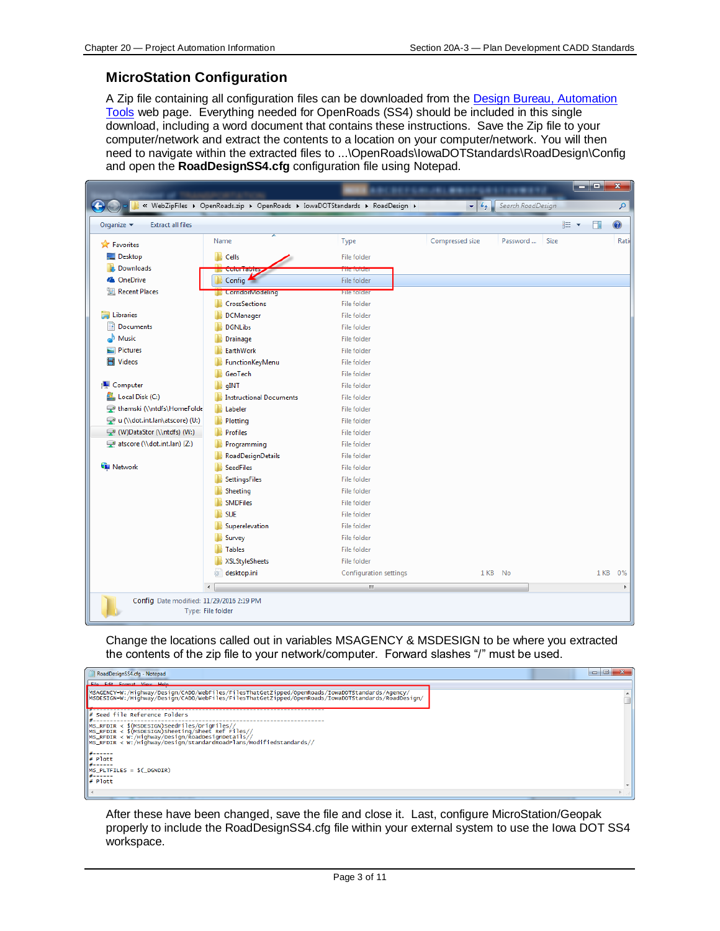# <span id="page-2-0"></span>**MicroStation Configuration**

A Zip file containing all configuration files can be downloaded from the [Design Bureau, Automation](../automation-tools)  [Tools](../automation-tools) web page. Everything needed for OpenRoads (SS4) should be included in this single download, including a word document that contains these instructions. Save the Zip file to your computer/network and extract the contents to a location on your computer/network. You will then need to navigate within the extracted files to ...\OpenRoads\IowaDOTStandards\RoadDesign\Config and open the **RoadDesignSS4.cfg** configuration file using Notepad.

|                                                           | « WebZipFiles > OpenRoads.zip > OpenRoads > IowaDOTStandards > RoadDesign > |                        | $-4$            | Search RoadDesign |       |        | م       |
|-----------------------------------------------------------|-----------------------------------------------------------------------------|------------------------|-----------------|-------------------|-------|--------|---------|
| <b>Extract all files</b><br>Organize $\blacktriangledown$ |                                                                             |                        |                 |                   | 988 ▼ | $\Box$ | $\odot$ |
| <b>X</b> Favorites                                        | Name                                                                        | Type                   | Compressed size | Password<br>Size  |       |        | Rati    |
| Desktop                                                   | Cells                                                                       | <b>File folder</b>     |                 |                   |       |        |         |
| <b>La</b> Downloads                                       | Cului Tables                                                                | <b>MIL-MENSION</b>     |                 |                   |       |        |         |
| <b>&amp;</b> OneDrive                                     | Config $\blacksquare$                                                       | File folder            |                 |                   |       |        |         |
| Recent Places                                             | <b>CorridorModeling</b>                                                     | File folder            |                 |                   |       |        |         |
|                                                           | <b>CrossSections</b>                                                        | <b>File folder</b>     |                 |                   |       |        |         |
| Libraries                                                 | <b>DCManager</b>                                                            | File folder            |                 |                   |       |        |         |
| Documents                                                 | <b>DGNLibs</b>                                                              | <b>File folder</b>     |                 |                   |       |        |         |
| A Music                                                   | Drainage                                                                    | <b>File folder</b>     |                 |                   |       |        |         |
| Pictures                                                  | EarthWork                                                                   | <b>File folder</b>     |                 |                   |       |        |         |
| <b>E</b> Videos                                           | FunctionKeyMenu                                                             | File folder            |                 |                   |       |        |         |
|                                                           | GeoTech                                                                     | File folder            |                 |                   |       |        |         |
| Computer                                                  | qINT                                                                        | File folder            |                 |                   |       |        |         |
| Local Disk (C:)                                           | <b>Instructional Documents</b>                                              | File folder            |                 |                   |       |        |         |
| thamski (\\ntdfs\HomeFolde                                | Labeler                                                                     | File folder            |                 |                   |       |        |         |
| u (\\dot.int.lan\atscore) (U:)                            | Plotting                                                                    | File folder            |                 |                   |       |        |         |
| (W:) (W)DataStor (\\ntdfs) (W:)                           | <b>Profiles</b>                                                             | <b>File folder</b>     |                 |                   |       |        |         |
| atscore (\\dot.int.lan) (Z:)                              | Programming                                                                 | File folder            |                 |                   |       |        |         |
|                                                           | RoadDesignDetails                                                           | <b>File folder</b>     |                 |                   |       |        |         |
| <b>Gu</b> Network                                         | <b>SeedFiles</b>                                                            | File folder            |                 |                   |       |        |         |
|                                                           | <b>SettingsFiles</b>                                                        | <b>File folder</b>     |                 |                   |       |        |         |
|                                                           | Sheeting                                                                    | File folder            |                 |                   |       |        |         |
|                                                           | <b>SMDFiles</b>                                                             | <b>File folder</b>     |                 |                   |       |        |         |
|                                                           | <b>SUE</b>                                                                  | <b>File folder</b>     |                 |                   |       |        |         |
|                                                           | Superelevation                                                              | File folder            |                 |                   |       |        |         |
|                                                           | Survey                                                                      | <b>File folder</b>     |                 |                   |       |        |         |
|                                                           | <b>Tables</b>                                                               | File folder            |                 |                   |       |        |         |
|                                                           | XSLStyleSheets                                                              | <b>File folder</b>     |                 |                   |       |        |         |
|                                                           | desktop.ini                                                                 | Configuration settings | 1 KB            | No                |       | 1 KB   | 0%      |
|                                                           | $\blacktriangleleft$                                                        | m,                     |                 |                   |       |        | k       |
| Config Date modified: 11/29/2016 2:19 PM                  | Type: File folder                                                           |                        |                 |                   |       |        |         |

Change the locations called out in variables MSAGENCY & MSDESIGN to be where you extracted the contents of the zip file to your network/computer. Forward slashes "/" must be used.



After these have been changed, save the file and close it. Last, configure MicroStation/Geopak properly to include the RoadDesignSS4.cfg file within your external system to use the Iowa DOT SS4 workspace.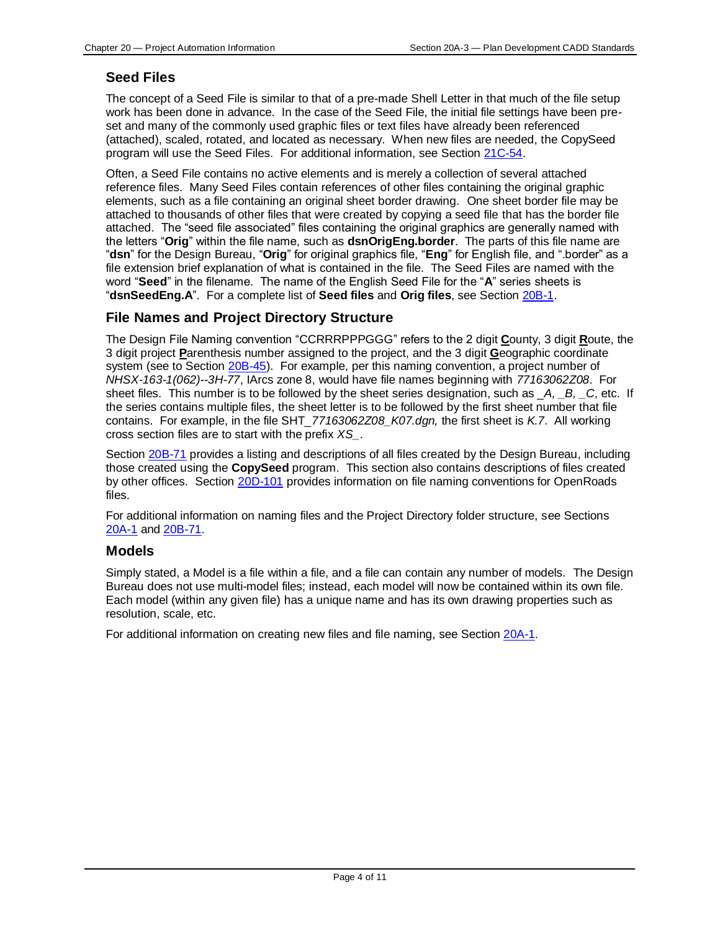# <span id="page-3-0"></span>**Seed Files**

The concept of a Seed File is similar to that of a pre-made Shell Letter in that much of the file setup work has been done in advance. In the case of the Seed File, the initial file settings have been preset and many of the commonly used graphic files or text files have already been referenced (attached), scaled, rotated, and located as necessary. When new files are needed, the CopySeed program will use the Seed Files. For additional information, see Section [21C-54.](21C-54.pdf)

Often, a Seed File contains no active elements and is merely a collection of several attached reference files. Many Seed Files contain references of other files containing the original graphic elements, such as a file containing an original sheet border drawing. One sheet border file may be attached to thousands of other files that were created by copying a seed file that has the border file attached. The "seed file associated" files containing the original graphics are generally named with the letters "**Orig**" within the file name, such as **dsnOrigEng.border**. The parts of this file name are "**dsn**" for the Design Bureau, "**Orig**" for original graphics file, "**Eng**" for English file, and ".border" as a file extension brief explanation of what is contained in the file. The Seed Files are named with the word "**Seed**" in the filename. The name of the English Seed File for the "**A**" series sheets is "**dsnSeedEng.A**". For a complete list of **Seed files** and **Orig files**, see Section [20B-1.](20B-01.pdf)

## <span id="page-3-1"></span>**File Names and Project Directory Structure**

The Design File Naming convention "CCRRRPPPGGG" refers to the 2 digit **C**ounty, 3 digit **R**oute, the 3 digit project **P**arenthesis number assigned to the project, and the 3 digit **G**eographic coordinate system (see to Section [20B-45\)](20B-45.pdf). For example, per this naming convention, a project number of *NHSX-163-1(062)--3H-77*, IArcs zone 8, would have file names beginning with *77163062Z08*. For sheet files. This number is to be followed by the sheet series designation, such as \_*A, \_B, \_C*, etc. If the series contains multiple files, the sheet letter is to be followed by the first sheet number that file contains. For example, in the file SHT\_*77163062Z08\_K07.dgn,* the first sheet is *K.7*. All working cross section files are to start with the prefix *XS\_*.

Section [20B-71](20B-71.pdf) provides a listing and descriptions of all files created by the Design Bureau, including those created using the **CopySeed** program. This section also contains descriptions of files created by other offices. Section [20D-101](20D-101.pdf) provides information on file naming conventions for OpenRoads files.

For additional information on naming files and the Project Directory folder structure, see Sections [20A-1](20A-01.pdf) and [20B-71.](20B-71.pdf)

## <span id="page-3-2"></span>**Models**

Simply stated, a Model is a file within a file, and a file can contain any number of models. The Design Bureau does not use multi-model files; instead, each model will now be contained within its own file. Each model (within any given file) has a unique name and has its own drawing properties such as resolution, scale, etc.

For additional information on creating new files and file naming, see Section [20A-1.](20A-01.pdf)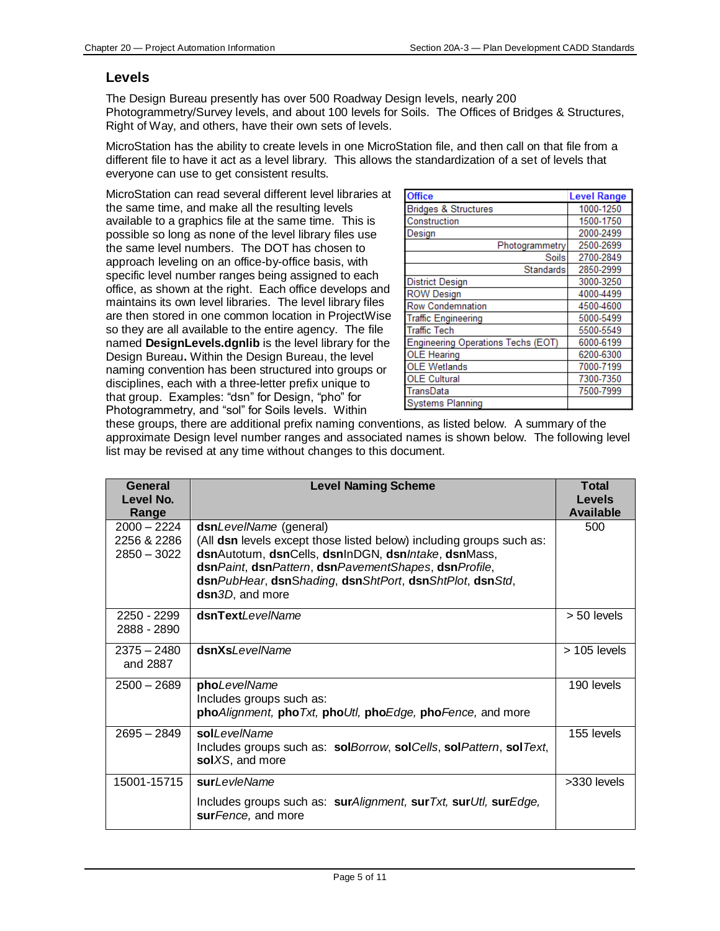### <span id="page-4-0"></span>**Levels**

The Design Bureau presently has over 500 Roadway Design levels, nearly 200 Photogrammetry/Survey levels, and about 100 levels for Soils. The Offices of Bridges & Structures, Right of Way, and others, have their own sets of levels.

MicroStation has the ability to create levels in one MicroStation file, and then call on that file from a different file to have it act as a level library. This allows the standardization of a set of levels that everyone can use to get consistent results.

MicroStation can read several different level libraries at the same time, and make all the resulting levels available to a graphics file at the same time. This is possible so long as none of the level library files use the same level numbers. The DOT has chosen to approach leveling on an office-by-office basis, with specific level number ranges being assigned to each office, as shown at the right. Each office develops and maintains its own level libraries. The level library files are then stored in one common location in ProjectWise so they are all available to the entire agency. The file named **DesignLevels.dgnlib** is the level library for the Design Bureau**.** Within the Design Bureau, the level naming convention has been structured into groups or disciplines, each with a three-letter prefix unique to that group. Examples: "dsn" for Design, "pho" for Photogrammetry, and "sol" for Soils levels. Within

| <b>Office</b>                      | <b>Level Range</b> |
|------------------------------------|--------------------|
| <b>Bridges &amp; Structures</b>    | 1000-1250          |
| Construction                       | 1500-1750          |
| Design                             | 2000-2499          |
| Photogrammetry                     | 2500-2699          |
| <b>Soils</b>                       | 2700-2849          |
| Standards                          | 2850-2999          |
| <b>District Design</b>             | 3000-3250          |
| <b>ROW Design</b>                  | 4000-4499          |
| <b>Row Condemnation</b>            | 4500-4600          |
| <b>Traffic Engineering</b>         | 5000-5499          |
| <b>Traffic Tech</b>                | 5500-5549          |
| Engineering Operations Techs (EOT) | 6000-6199          |
| <b>OLE Hearing</b>                 | 6200-6300          |
| <b>OLE Wetlands</b>                | 7000-7199          |
| <b>OLE Cultural</b>                | 7300-7350          |
| TransData                          | 7500-7999          |
| <b>Systems Planning</b>            |                    |

these groups, there are additional prefix naming conventions, as listed below. A summary of the approximate Design level number ranges and associated names is shown below. The following level list may be revised at any time without changes to this document.

| General<br>Level No.<br>Range                 | <b>Level Naming Scheme</b>                                                                                                                                                                                                                                                                   | <b>Total</b><br><b>Levels</b><br><b>Available</b> |
|-----------------------------------------------|----------------------------------------------------------------------------------------------------------------------------------------------------------------------------------------------------------------------------------------------------------------------------------------------|---------------------------------------------------|
| $2000 - 2224$<br>2256 & 2286<br>$2850 - 3022$ | dsnLevelName (general)<br>(All dsn levels except those listed below) including groups such as:<br>dsnAutoturn, dsnCells, dsnInDGN, dsnIntake, dsnMass,<br>dsnPaint, dsnPattern, dsnPavementShapes, dsnProfile,<br>dsnPubHear, dsnShading, dsnShtPort, dsnShtPlot, dsnStd,<br>dsn3D, and more | 500                                               |
| 2250 - 2299<br>2888 - 2890                    | dsnTextLevelName                                                                                                                                                                                                                                                                             | > 50 levels                                       |
| $2375 - 2480$<br>and 2887                     | dsnXsLevelName                                                                                                                                                                                                                                                                               | $> 105$ levels                                    |
| $2500 - 2689$                                 | phoLevelName<br>Includes groups such as:<br>phoAlignment, phoTxt, phoUtl, phoEdge, phoFence, and more                                                                                                                                                                                        | 190 levels                                        |
| $2695 - 2849$                                 | soll evelName<br>Includes groups such as: solBorrow, solCells, solPattern, solText,<br>solXS, and more                                                                                                                                                                                       | 155 levels                                        |
| 15001-15715                                   | surLevleName<br>Includes groups such as: surAlignment, sur Txt, sur Utl, surEdge,<br>sur Fence, and more                                                                                                                                                                                     | >330 levels                                       |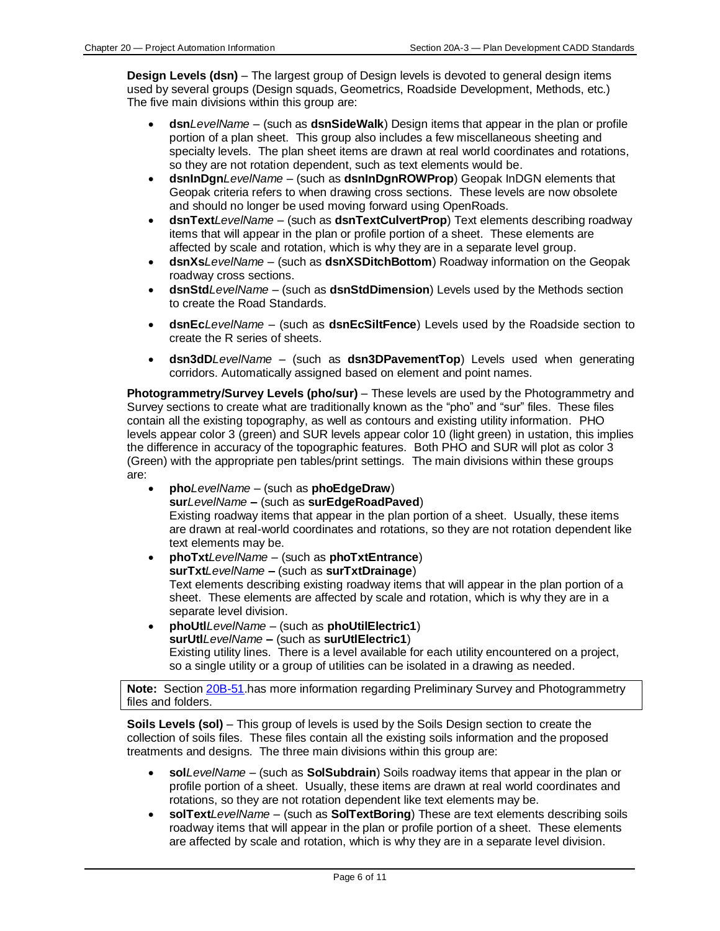**Design Levels (dsn)** – The largest group of Design levels is devoted to general design items used by several groups (Design squads, Geometrics, Roadside Development, Methods, etc.) The five main divisions within this group are:

- **dsn***LevelName* (such as **dsnSideWalk**) Design items that appear in the plan or profile portion of a plan sheet. This group also includes a few miscellaneous sheeting and specialty levels. The plan sheet items are drawn at real world coordinates and rotations, so they are not rotation dependent, such as text elements would be.
- **dsnInDgn***LevelName* (such as **dsnInDgnROWProp**) Geopak InDGN elements that Geopak criteria refers to when drawing cross sections. These levels are now obsolete and should no longer be used moving forward using OpenRoads.
- **dsnText***LevelName* (such as **dsnTextCulvertProp**) Text elements describing roadway items that will appear in the plan or profile portion of a sheet. These elements are affected by scale and rotation, which is why they are in a separate level group.
- **dsnXs***LevelName* (such as **dsnXSDitchBottom**) Roadway information on the Geopak roadway cross sections.
- **dsnStd***LevelName* (such as **dsnStdDimension**) Levels used by the Methods section to create the Road Standards.
- **dsnEc***LevelName* (such as **dsnEcSiltFence**) Levels used by the Roadside section to create the R series of sheets.
- **dsn3dD***LevelName* (such as **dsn3DPavementTop**) Levels used when generating corridors. Automatically assigned based on element and point names.

**Photogrammetry/Survey Levels (pho/sur)** – These levels are used by the Photogrammetry and Survey sections to create what are traditionally known as the "pho" and "sur" files. These files contain all the existing topography, as well as contours and existing utility information. PHO levels appear color 3 (green) and SUR levels appear color 10 (light green) in ustation, this implies the difference in accuracy of the topographic features. Both PHO and SUR will plot as color 3 (Green) with the appropriate pen tables/print settings. The main divisions within these groups are:

- **pho***LevelName* (such as **phoEdgeDraw**) **sur***LevelName* **–** (such as **surEdgeRoadPaved**) Existing roadway items that appear in the plan portion of a sheet. Usually, these items are drawn at real-world coordinates and rotations, so they are not rotation dependent like text elements may be.
- **phoTxt***LevelName* (such as **phoTxtEntrance**) **surTxt***LevelName* **–** (such as **surTxtDrainage**) Text elements describing existing roadway items that will appear in the plan portion of a sheet. These elements are affected by scale and rotation, which is why they are in a separate level division.
- **phoUtl***LevelName* (such as **phoUtilElectric1**) **surUtl***LevelName* **–** (such as **surUtlElectric1**) Existing utility lines. There is a level available for each utility encountered on a project, so a single utility or a group of utilities can be isolated in a drawing as needed.

**Note:** Section [20B-51.](20B-51.pdf)has more information regarding Preliminary Survey and Photogrammetry files and folders.

**Soils Levels (sol)** – This group of levels is used by the Soils Design section to create the collection of soils files. These files contain all the existing soils information and the proposed treatments and designs. The three main divisions within this group are:

- **sol***LevelName* (such as **SolSubdrain**) Soils roadway items that appear in the plan or profile portion of a sheet. Usually, these items are drawn at real world coordinates and rotations, so they are not rotation dependent like text elements may be.
- **solText***LevelName* (such as **SolTextBoring**) These are text elements describing soils roadway items that will appear in the plan or profile portion of a sheet. These elements are affected by scale and rotation, which is why they are in a separate level division.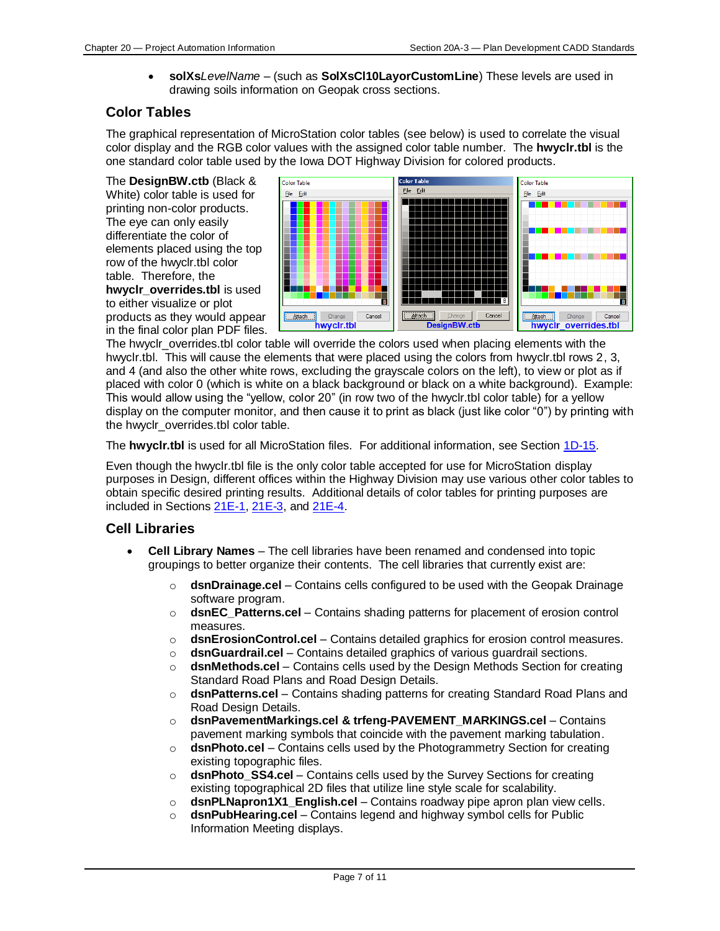• **solXs***LevelName* – (such as **SolXsCl10LayorCustomLine**) These levels are used in drawing soils information on Geopak cross sections.

# <span id="page-6-0"></span>**Color Tables**

The graphical representation of MicroStation color tables (see below) is used to correlate the visual color display and the RGB color values with the assigned color table number. The **hwyclr.tbl** is the one standard color table used by the Iowa DOT Highway Division for colored products.

The **DesignBW.ctb** (Black & White) color table is used for printing non-color products. The eye can only easily differentiate the color of elements placed using the top row of the hwyclr.tbl color table. Therefore, the **hwyclr\_overrides.tbl** is used to either visualize or plot products as they would appear in the final color plan PDF files.



The hwyclr\_overrides.tbl color table will override the colors used when placing elements with the hwyclr.tbl. This will cause the elements that were placed using the colors from hwyclr.tbl rows 2, 3, and 4 (and also the other white rows, excluding the grayscale colors on the left), to view or plot as if placed with color 0 (which is white on a black background or black on a white background). Example: This would allow using the "yellow, color 20" (in row two of the hwyclr.tbl color table) for a yellow display on the computer monitor, and then cause it to print as black (just like color "0") by printing with the hwyclr\_overrides.tbl color table.

The **hwyclr.tbl** is used for all MicroStation files. For additional information, see Section [1D-15.](01d-15.pdf)

Even though the hwyclr.tbl file is the only color table accepted for use for MicroStation display purposes in Design, different offices within the Highway Division may use various other color tables to obtain specific desired printing results. Additional details of color tables for printing purposes are included in Section[s 21E-1,](21E-01.pdf) [21E-3,](21E-03.pdf) an[d 21E-4.](21E-04.pdf)

## <span id="page-6-1"></span>**Cell Libraries**

- **Cell Library Names** The cell libraries have been renamed and condensed into topic groupings to better organize their contents. The cell libraries that currently exist are:
	- o **dsnDrainage.cel** Contains cells configured to be used with the Geopak Drainage software program.
	- o **dsnEC\_Patterns.cel** Contains shading patterns for placement of erosion control measures.
	- o **dsnErosionControl.cel** Contains detailed graphics for erosion control measures.
	- o **dsnGuardrail.cel** Contains detailed graphics of various guardrail sections.
	- o **dsnMethods.cel** Contains cells used by the Design Methods Section for creating Standard Road Plans and Road Design Details.
	- o **dsnPatterns.cel** Contains shading patterns for creating Standard Road Plans and Road Design Details.
	- o **dsnPavementMarkings.cel & trfeng-PAVEMENT\_MARKINGS.cel** Contains pavement marking symbols that coincide with the pavement marking tabulation.
	- o **dsnPhoto.cel** Contains cells used by the Photogrammetry Section for creating existing topographic files.
	- o **dsnPhoto\_SS4.cel** Contains cells used by the Survey Sections for creating existing topographical 2D files that utilize line style scale for scalability.
	- o **dsnPLNapron1X1\_English.cel** Contains roadway pipe apron plan view cells.
	- o **dsnPubHearing.cel** Contains legend and highway symbol cells for Public Information Meeting displays.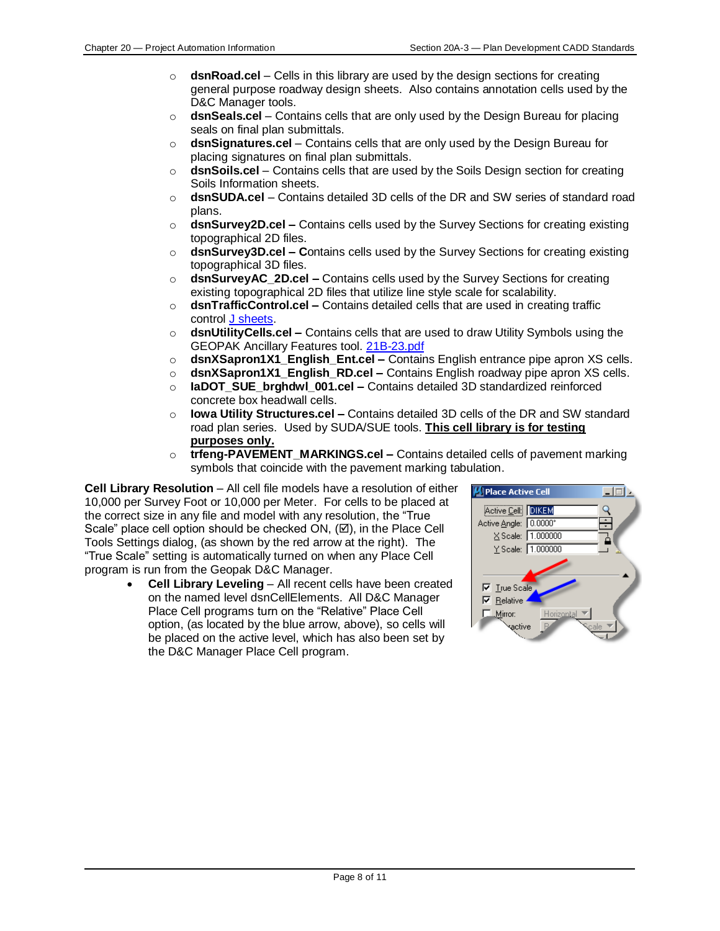- o **dsnRoad.cel** Cells in this library are used by the design sections for creating general purpose roadway design sheets. Also contains annotation cells used by the D&C Manager tools.
- o **dsnSeals.cel** Contains cells that are only used by the Design Bureau for placing seals on final plan submittals.
- o **dsnSignatures.cel** Contains cells that are only used by the Design Bureau for placing signatures on final plan submittals.
- o **dsnSoils.cel** Contains cells that are used by the Soils Design section for creating Soils Information sheets.
- o **dsnSUDA.cel** Contains detailed 3D cells of the DR and SW series of standard road plans.
- o **dsnSurvey2D.cel –** Contains cells used by the Survey Sections for creating existing topographical 2D files.
- o **dsnSurvey3D.cel – C**ontains cells used by the Survey Sections for creating existing topographical 3D files.
- o **dsnSurveyAC\_2D.cel –** Contains cells used by the Survey Sections for creating existing topographical 2D files that utilize line style scale for scalability.
- o **dsnTrafficControl.cel –** Contains detailed cells that are used in creating traffic control [J sheets.](01F-10.pdf)
- o **dsnUtilityCells.cel –** Contains cells that are used to draw Utility Symbols using the GEOPAK Ancillary Features tool. <21B-23.pdf>
- o **dsnXSapron1X1\_English\_Ent.cel –** Contains English entrance pipe apron XS cells.
- o **dsnXSapron1X1\_English\_RD.cel –** Contains English roadway pipe apron XS cells.
- o **IaDOT\_SUE\_brghdwl\_001.cel –** Contains detailed 3D standardized reinforced concrete box headwall cells.
- o **Iowa Utility Structures.cel –** Contains detailed 3D cells of the DR and SW standard road plan series. Used by SUDA/SUE tools. **This cell library is for testing purposes only.**
- o **trfeng-PAVEMENT\_MARKINGS.cel –** Contains detailed cells of pavement marking symbols that coincide with the pavement marking tabulation.

**Cell Library Resolution** – All cell file models have a resolution of either 10,000 per Survey Foot or 10,000 per Meter. For cells to be placed at the correct size in any file and model with any resolution, the "True Scale" place cell option should be checked ON,  $(\boxtimes)$ , in the Place Cell Tools Settings dialog, (as shown by the red arrow at the right). The "True Scale" setting is automatically turned on when any Place Cell program is run from the Geopak D&C Manager.

> • **Cell Library Leveling** – All recent cells have been created on the named level dsnCellElements. All D&C Manager Place Cell programs turn on the "Relative" Place Cell option, (as located by the blue arrow, above), so cells will be placed on the active level, which has also been set by the D&C Manager Place Cell program.

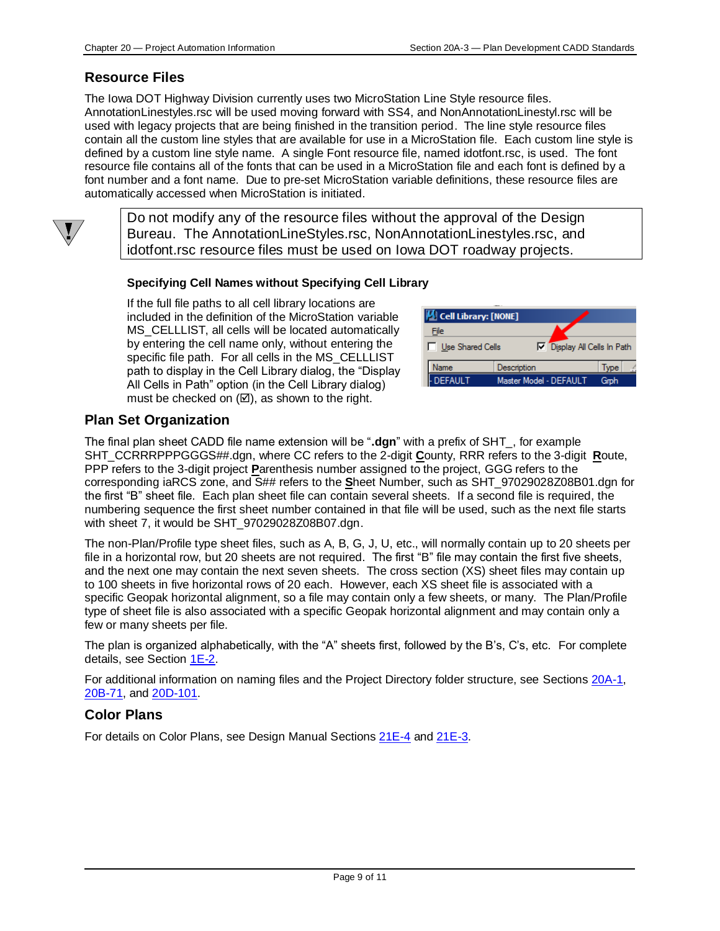# <span id="page-8-0"></span>**Resource Files**

 $\langle \pmb{V} \rangle$ 

The Iowa DOT Highway Division currently uses two MicroStation Line Style resource files. AnnotationLinestyles.rsc will be used moving forward with SS4, and NonAnnotationLinestyl.rsc will be used with legacy projects that are being finished in the transition period. The line style resource files contain all the custom line styles that are available for use in a MicroStation file. Each custom line style is defined by a custom line style name. A single Font resource file, named idotfont.rsc, is used. The font resource file contains all of the fonts that can be used in a MicroStation file and each font is defined by a font number and a font name. Due to pre-set MicroStation variable definitions, these resource files are automatically accessed when MicroStation is initiated.

Do not modify any of the resource files without the approval of the Design Bureau. The AnnotationLineStyles.rsc, NonAnnotationLinestyles.rsc, and idotfont.rsc resource files must be used on Iowa DOT roadway projects.

#### **Specifying Cell Names without Specifying Cell Library**

If the full file paths to all cell library locations are included in the definition of the MicroStation variable MS CELLLIST, all cells will be located automatically by entering the cell name only, without entering the specific file path. For all cells in the MS\_CELLLIST path to display in the Cell Library dialog, the "Display All Cells in Path" option (in the Cell Library dialog) must be checked on  $(\boxtimes)$ , as shown to the right.

| $\vert\!\vert\!\vert\!\vert$ Cell Library: [NONE] |                           |     |  |
|---------------------------------------------------|---------------------------|-----|--|
| File                                              |                           |     |  |
| Use Shared Cells                                  | Display All Cells In Path |     |  |
| Name                                              | Description               | vpe |  |
| <b>DEFAULT</b>                                    | Master Model - DEFAULT    | Gmh |  |

# <span id="page-8-1"></span>**Plan Set Organization**

The final plan sheet CADD file name extension will be "**.dgn**" with a prefix of SHT\_, for example SHT\_CCRRRPPPGGGS##.dgn, where CC refers to the 2-digit **C**ounty, RRR refers to the 3-digit **R**oute, PPP refers to the 3-digit project **P**arenthesis number assigned to the project, GGG refers to the corresponding iaRCS zone, and S## refers to the **S**heet Number, such as SHT\_97029028Z08B01.dgn for the first "B" sheet file. Each plan sheet file can contain several sheets. If a second file is required, the numbering sequence the first sheet number contained in that file will be used, such as the next file starts with sheet 7, it would be SHT\_97029028Z08B07.dgn.

The non-Plan/Profile type sheet files, such as A, B, G, J, U, etc., will normally contain up to 20 sheets per file in a horizontal row, but 20 sheets are not required. The first "B" file may contain the first five sheets, and the next one may contain the next seven sheets. The cross section (XS) sheet files may contain up to 100 sheets in five horizontal rows of 20 each. However, each XS sheet file is associated with a specific Geopak horizontal alignment, so a file may contain only a few sheets, or many. The Plan/Profile type of sheet file is also associated with a specific Geopak horizontal alignment and may contain only a few or many sheets per file.

The plan is organized alphabetically, with the "A" sheets first, followed by the B's, C's, etc. For complete details, see Section [1E-2.](01E-02.pdf)

For additional information on naming files and the Project Directory folder structure, see Sections [20A-1,](20A-01.pdf) [20B-71,](20B-71.pdf) and [20D-101.](20D-101.pdf)

## <span id="page-8-2"></span>**Color Plans**

For details on Color Plans, see Design Manual Sections [21E-4](21E-04.pdf) and [21E-3.](21E-03.pdf)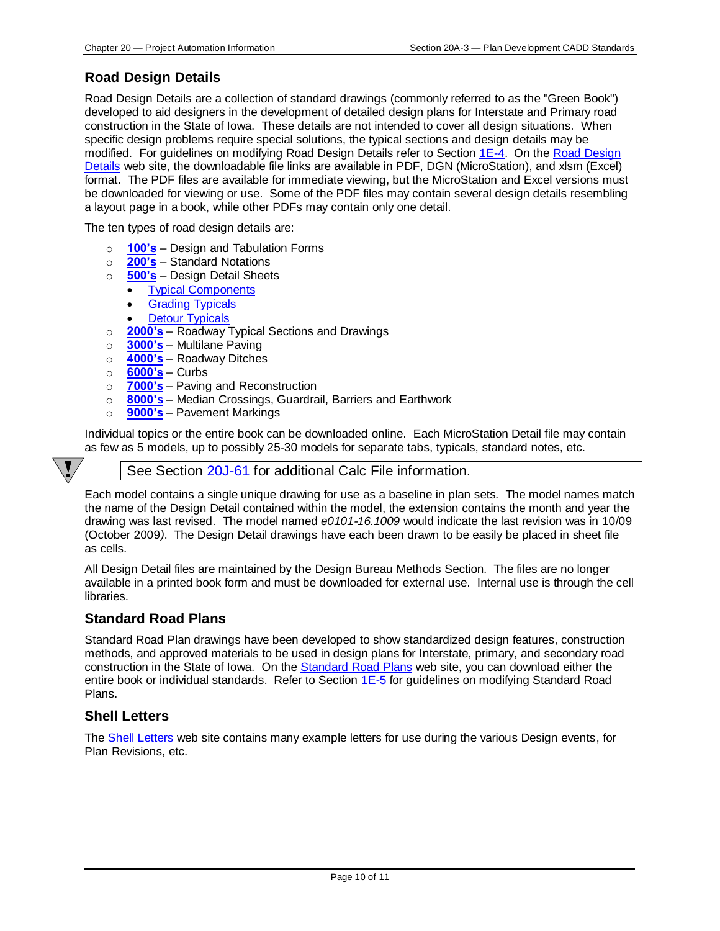# <span id="page-9-0"></span>**Road Design Details**

Road Design Details are a collection of standard drawings (commonly referred to as the "Green Book") developed to aid designers in the development of detailed design plans for Interstate and Primary road construction in the State of Iowa. These details are not intended to cover all design situations. When specific design problems require special solutions, the typical sections and design details may be modified. For guidelines on modifying Road Design Details refer to Section [1E-4.](01e-04.pdf) On the [Road Design](../road-design-details)  [Details](../road-design-details) web site, the downloadable file links are available in PDF, DGN (MicroStation), and xlsm (Excel) format. The PDF files are available for immediate viewing, but the MicroStation and Excel versions must be downloaded for viewing or use. Some of the PDF files may contain several design details resembling a layout page in a book, while other PDFs may contain only one detail.

The ten types of road design details are:

- o **[100's](../100s)** Design and Tabulation Forms
- o **[200's](../200s)** Standard Notations
- o **[500's](../500s)** Design Detail Sheets
	- [Typical Components](../TypicalComponents)
		- [Grading Typicals](../GradingTypicals)
		- **[Detour Typicals](../DetourTypicals)**
- o **[2000's](../2000s)** Roadway Typical Sections and Drawings
- o **[3000's](../3000s)** Multilane Paving
- o **[4000's](../4000s)** Roadway Ditches
- o **[6000's](../6000s)** Curbs
- o **[7000's](../7000s)** Paving and Reconstruction
- o **[8000's](../8000s)** Median Crossings, Guardrail, Barriers and Earthwork
- o **[9000's](../9000s)** Pavement Markings

Individual topics or the entire book can be downloaded online. Each MicroStation Detail file may contain as few as 5 models, up to possibly 25-30 models for separate tabs, typicals, standard notes, etc.

### See Section [20J-61](20J-61.pdf) for additional Calc File information.

Each model contains a single unique drawing for use as a baseline in plan sets. The model names match the name of the Design Detail contained within the model, the extension contains the month and year the drawing was last revised. The model named *e0101-16.1009* would indicate the last revision was in 10/09 (October 2009*)*. The Design Detail drawings have each been drawn to be easily be placed in sheet file as cells.

All Design Detail files are maintained by the Design Bureau Methods Section. The files are no longer available in a printed book form and must be downloaded for external use. Internal use is through the cell libraries.

## <span id="page-9-1"></span>**Standard Road Plans**

Standard Road Plan drawings have been developed to show standardized design features, construction methods, and approved materials to be used in design plans for Interstate, primary, and secondary road construction in the State of Iowa. On th[e Standard Road Plans](../Standard-road-plans) web site, you can download either the entire book or individual standards. Refer to Section [1E-5](01e-05.pdf) for guidelines on modifying Standard Road Plans.

## <span id="page-9-2"></span>**Shell Letters**

The [Shell Letters](../Shell-letters) web site contains many example letters for use during the various Design events, for Plan Revisions, etc.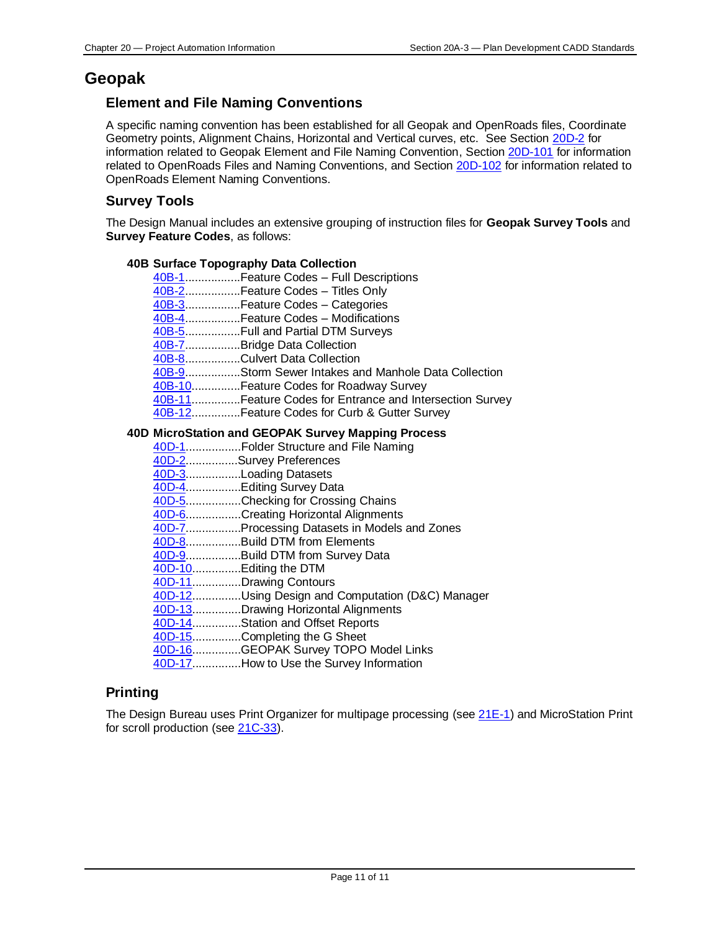# <span id="page-10-1"></span><span id="page-10-0"></span>**Geopak**

# **Element and File Naming Conventions**

A specific naming convention has been established for all Geopak and OpenRoads files, Coordinate Geometry points, Alignment Chains, Horizontal and Vertical curves, etc. See Section [20D-2](20D-02.pdf) for information related to Geopak Element and File Naming Convention, Section [20D-101](20D-101.pdf) for information related to OpenRoads Files and Naming Conventions, and Section [20D-102](20D-102.pdf) for information related to OpenRoads Element Naming Conventions.

# <span id="page-10-2"></span>**Survey Tools**

The Design Manual includes an extensive grouping of instruction files for **Geopak Survey Tools** and **Survey Feature Codes**, as follows:

#### **40B Surface Topography Data Collection**

| 40B-1  Feature Codes - Full Descriptions                 |
|----------------------------------------------------------|
| 40B-2Feature Codes - Titles Only                         |
| 40B-3Feature Codes - Categories                          |
| 40B-4Feature Codes - Modifications                       |
|                                                          |
| 40B-7Bridge Data Collection                              |
| 40B-8Culvert Data Collection                             |
| 40B-9Storm Sewer Intakes and Manhole Data Collection     |
| 40B-10Feature Codes for Roadway Survey                   |
| 40B-11Feature Codes for Entrance and Intersection Survey |
| 40B-12Feature Codes for Curb & Gutter Survey             |

#### **40D MicroStation and GEOPAK Survey Mapping Process**

| 40D-1Folder Structure and File Naming            |
|--------------------------------------------------|
| 40D-2Survey Preferences                          |
| 40D-3Loading Datasets                            |
| 40D-4Editing Survey Data                         |
| 40D-5Checking for Crossing Chains                |
| 40D-6Creating Horizontal Alignments              |
| 40D-7Processing Datasets in Models and Zones     |
| 40D-8Build DTM from Elements                     |
| 40D-9Build DTM from Survey Data                  |
| 40D-10Editing the DTM                            |
| 40D-11Drawing Contours                           |
| 40D-12Using Design and Computation (D&C) Manager |
| 40D-13Drawing Horizontal Alignments              |
| 40D-14Station and Offset Reports                 |
| 40D-15Completing the G Sheet                     |
| 40D-16GEOPAK Survey TOPO Model Links             |
| 40D-17How to Use the Survey Information          |

# <span id="page-10-3"></span>**Printing**

The Design Bureau uses Print Organizer for multipage processing (see [21E-1\)](21E-01.pdf) and MicroStation Print for scroll production (see [21C-33\)](21C-33.pdf).